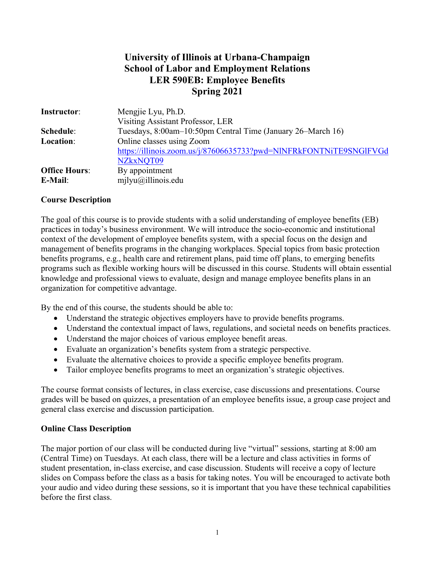# **University of Illinois at Urbana-Champaign School of Labor and Employment Relations LER 590EB: Employee Benefits Spring 2021**

| Instructor:          | Mengjie Lyu, Ph.D.                                                 |
|----------------------|--------------------------------------------------------------------|
|                      | Visiting Assistant Professor, LER                                  |
| Schedule:            | Tuesdays, 8:00am-10:50pm Central Time (January 26–March 16)        |
| Location:            | Online classes using Zoom                                          |
|                      | https://illinois.zoom.us/j/87606635733?pwd=NlNFRkFONTNiTE9SNGlFVGd |
|                      | NZkxNQT09                                                          |
| <b>Office Hours:</b> | By appointment                                                     |
| E-Mail:              | $m$ ilyu $\omega$ illinois.edu                                     |

### **Course Description**

The goal of this course is to provide students with a solid understanding of employee benefits (EB) practices in today's business environment. We will introduce the socio-economic and institutional context of the development of employee benefits system, with a special focus on the design and management of benefits programs in the changing workplaces. Special topics from basic protection benefits programs, e.g., health care and retirement plans, paid time off plans, to emerging benefits programs such as flexible working hours will be discussed in this course. Students will obtain essential knowledge and professional views to evaluate, design and manage employee benefits plans in an organization for competitive advantage.

By the end of this course, the students should be able to:

- Understand the strategic objectives employers have to provide benefits programs.
- Understand the contextual impact of laws, regulations, and societal needs on benefits practices.
- Understand the major choices of various employee benefit areas.
- Evaluate an organization's benefits system from a strategic perspective.
- Evaluate the alternative choices to provide a specific employee benefits program.
- Tailor employee benefits programs to meet an organization's strategic objectives.

The course format consists of lectures, in class exercise, case discussions and presentations. Course grades will be based on quizzes, a presentation of an employee benefits issue, a group case project and general class exercise and discussion participation.

#### **Online Class Description**

The major portion of our class will be conducted during live "virtual" sessions, starting at 8:00 am (Central Time) on Tuesdays. At each class, there will be a lecture and class activities in forms of student presentation, in-class exercise, and case discussion. Students will receive a copy of lecture slides on Compass before the class as a basis for taking notes. You will be encouraged to activate both your audio and video during these sessions, so it is important that you have these technical capabilities before the first class.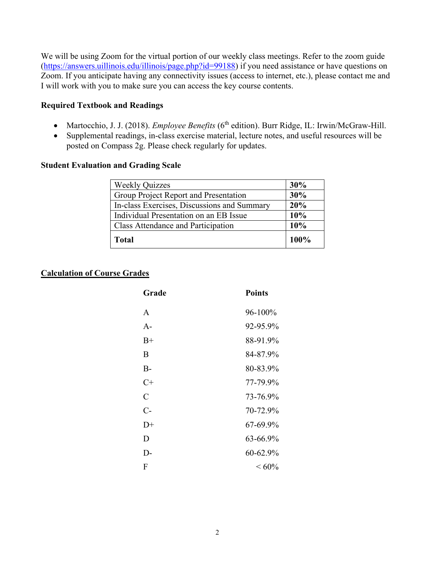We will be using Zoom for the virtual portion of our weekly class meetings. Refer to the zoom guide (https://answers.uillinois.edu/illinois/page.php?id=99188) if you need assistance or have questions on Zoom. If you anticipate having any connectivity issues (access to internet, etc.), please contact me and I will work with you to make sure you can access the key course contents.

### **Required Textbook and Readings**

- Martocchio, J. J. (2018). *Employee Benefits* (6<sup>th</sup> edition). Burr Ridge, IL: Irwin/McGraw-Hill.
- Supplemental readings, in-class exercise material, lecture notes, and useful resources will be posted on Compass 2g. Please check regularly for updates.

#### **Student Evaluation and Grading Scale**

| <b>Weekly Quizzes</b>                       | 30%     |
|---------------------------------------------|---------|
| Group Project Report and Presentation       | 30%     |
| In-class Exercises, Discussions and Summary | 20%     |
| Individual Presentation on an EB Issue      | 10%     |
| <b>Class Attendance and Participation</b>   | 10%     |
| <b>Total</b>                                | $100\%$ |

#### **Calculation of Course Grades**

| Grade         | <b>Points</b> |
|---------------|---------------|
| A             | 96-100%       |
| $A-$          | 92-95.9%      |
| $B+$          | 88-91.9%      |
| B             | 84-87.9%      |
| $B-$          | 80-83.9%      |
| $C+$          | 77-79.9%      |
| $\mathcal{C}$ | 73-76.9%      |
| $C-$          | 70-72.9%      |
| $D+$          | 67-69.9%      |
| D             | 63-66.9%      |
| $D-$          | 60-62.9%      |
| ${\bf F}$     | ${}< 60\%$    |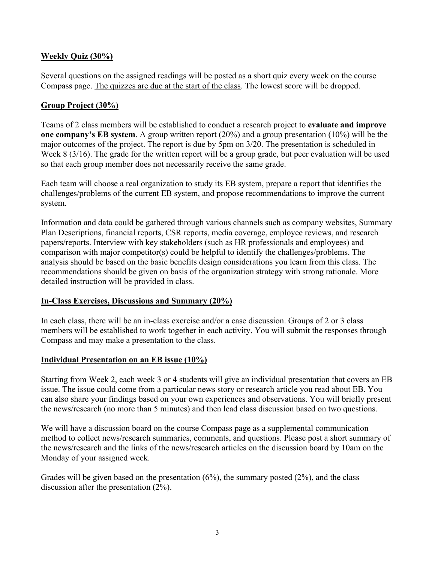# **Weekly Quiz (30%)**

Several questions on the assigned readings will be posted as a short quiz every week on the course Compass page. The quizzes are due at the start of the class. The lowest score will be dropped.

# **Group Project (30%)**

Teams of 2 class members will be established to conduct a research project to **evaluate and improve one company's EB system**. A group written report (20%) and a group presentation (10%) will be the major outcomes of the project. The report is due by 5pm on 3/20. The presentation is scheduled in Week 8 (3/16). The grade for the written report will be a group grade, but peer evaluation will be used so that each group member does not necessarily receive the same grade.

Each team will choose a real organization to study its EB system, prepare a report that identifies the challenges/problems of the current EB system, and propose recommendations to improve the current system.

Information and data could be gathered through various channels such as company websites, Summary Plan Descriptions, financial reports, CSR reports, media coverage, employee reviews, and research papers/reports. Interview with key stakeholders (such as HR professionals and employees) and comparison with major competitor(s) could be helpful to identify the challenges/problems. The analysis should be based on the basic benefits design considerations you learn from this class. The recommendations should be given on basis of the organization strategy with strong rationale. More detailed instruction will be provided in class.

# **In-Class Exercises, Discussions and Summary (20%)**

In each class, there will be an in-class exercise and/or a case discussion. Groups of 2 or 3 class members will be established to work together in each activity. You will submit the responses through Compass and may make a presentation to the class.

# **Individual Presentation on an EB issue (10%)**

Starting from Week 2, each week 3 or 4 students will give an individual presentation that covers an EB issue. The issue could come from a particular news story or research article you read about EB. You can also share your findings based on your own experiences and observations. You will briefly present the news/research (no more than 5 minutes) and then lead class discussion based on two questions.

We will have a discussion board on the course Compass page as a supplemental communication method to collect news/research summaries, comments, and questions. Please post a short summary of the news/research and the links of the news/research articles on the discussion board by 10am on the Monday of your assigned week.

Grades will be given based on the presentation  $(6\%)$ , the summary posted  $(2\%)$ , and the class discussion after the presentation (2%).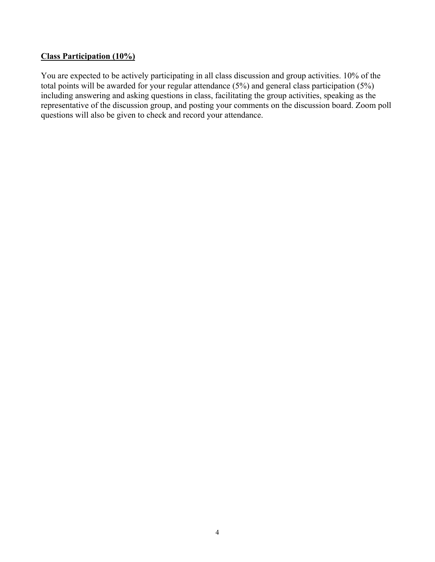## **Class Participation (10%)**

You are expected to be actively participating in all class discussion and group activities. 10% of the total points will be awarded for your regular attendance (5%) and general class participation (5%) including answering and asking questions in class, facilitating the group activities, speaking as the representative of the discussion group, and posting your comments on the discussion board. Zoom poll questions will also be given to check and record your attendance.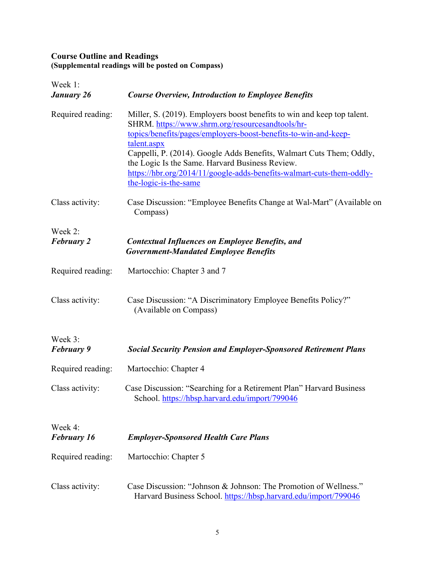#### **Course Outline and Readings (Supplemental readings will be posted on Compass)**

| Week 1:<br>January 26         | <b>Course Overview, Introduction to Employee Benefits</b>                                                                                                                                                                                                                                                                                                                                                                                  |  |
|-------------------------------|--------------------------------------------------------------------------------------------------------------------------------------------------------------------------------------------------------------------------------------------------------------------------------------------------------------------------------------------------------------------------------------------------------------------------------------------|--|
| Required reading:             | Miller, S. (2019). Employers boost benefits to win and keep top talent.<br>SHRM. https://www.shrm.org/resourcesandtools/hr-<br>topics/benefits/pages/employers-boost-benefits-to-win-and-keep-<br>talent.aspx<br>Cappelli, P. (2014). Google Adds Benefits, Walmart Cuts Them; Oddly,<br>the Logic Is the Same. Harvard Business Review.<br>https://hbr.org/2014/11/google-adds-benefits-walmart-cuts-them-oddly-<br>the-logic-is-the-same |  |
| Class activity:               | Case Discussion: "Employee Benefits Change at Wal-Mart" (Available on<br>Compass)                                                                                                                                                                                                                                                                                                                                                          |  |
| Week 2:<br><b>February 2</b>  | <b>Contextual Influences on Employee Benefits, and</b><br><b>Government-Mandated Employee Benefits</b>                                                                                                                                                                                                                                                                                                                                     |  |
| Required reading:             | Martocchio: Chapter 3 and 7                                                                                                                                                                                                                                                                                                                                                                                                                |  |
| Class activity:               | Case Discussion: "A Discriminatory Employee Benefits Policy?"<br>(Available on Compass)                                                                                                                                                                                                                                                                                                                                                    |  |
| Week 3:<br><b>February 9</b>  | <b>Social Security Pension and Employer-Sponsored Retirement Plans</b>                                                                                                                                                                                                                                                                                                                                                                     |  |
| Required reading:             | Martocchio: Chapter 4                                                                                                                                                                                                                                                                                                                                                                                                                      |  |
| Class activity:               | Case Discussion: "Searching for a Retirement Plan" Harvard Business<br>School. https://hbsp.harvard.edu/import/799046                                                                                                                                                                                                                                                                                                                      |  |
| Week 4:<br><b>February 16</b> | <b>Employer-Sponsored Health Care Plans</b>                                                                                                                                                                                                                                                                                                                                                                                                |  |
| Required reading:             | Martocchio: Chapter 5                                                                                                                                                                                                                                                                                                                                                                                                                      |  |
| Class activity:               | Case Discussion: "Johnson & Johnson: The Promotion of Wellness."<br>Harvard Business School. https://hbsp.harvard.edu/import/799046                                                                                                                                                                                                                                                                                                        |  |